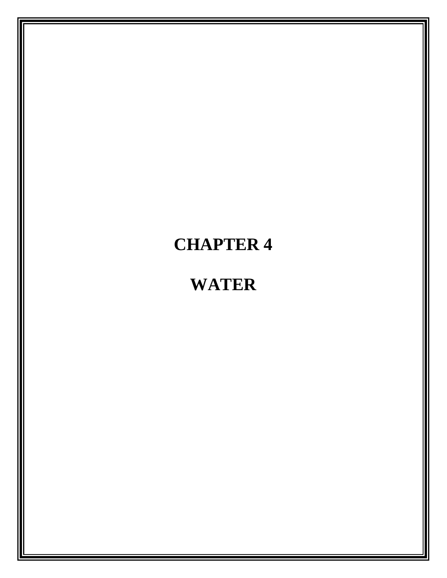# **CHAPTER 4**

# **WATER**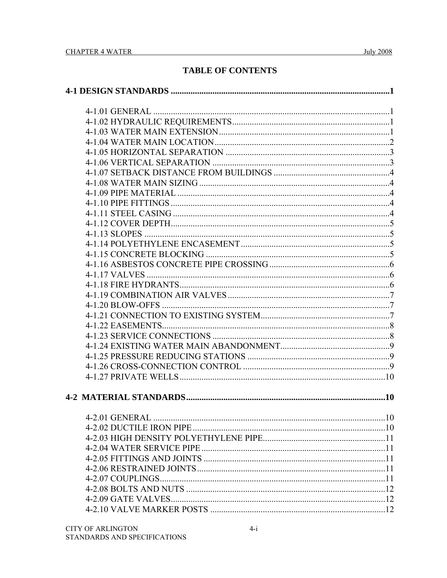## **TABLE OF CONTENTS**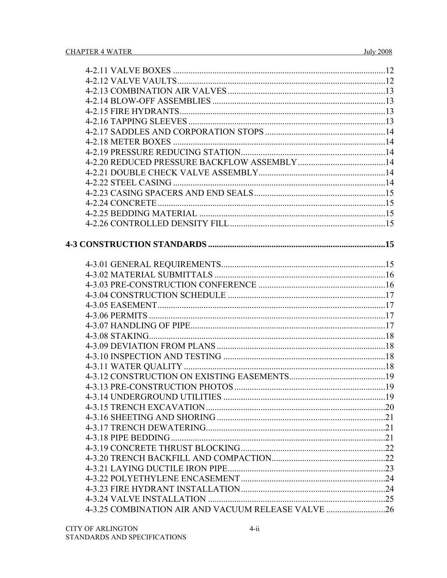| 4-3.25 COMBINATION AIR AND VACUUM RELEASE VALVE 26 |  |
|----------------------------------------------------|--|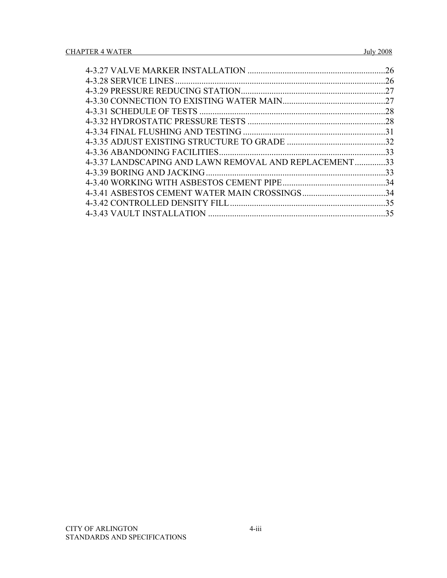|                                                     | 26  |
|-----------------------------------------------------|-----|
|                                                     | 26  |
|                                                     | 27  |
|                                                     | 27  |
|                                                     | .28 |
|                                                     | .28 |
|                                                     |     |
|                                                     |     |
|                                                     | 33  |
| 4-3.37 LANDSCAPING AND LAWN REMOVAL AND REPLACEMENT | 33  |
| 4-3.39 BORING AND JACKING                           | 33  |
|                                                     |     |
|                                                     |     |
|                                                     |     |
|                                                     | 35  |
|                                                     |     |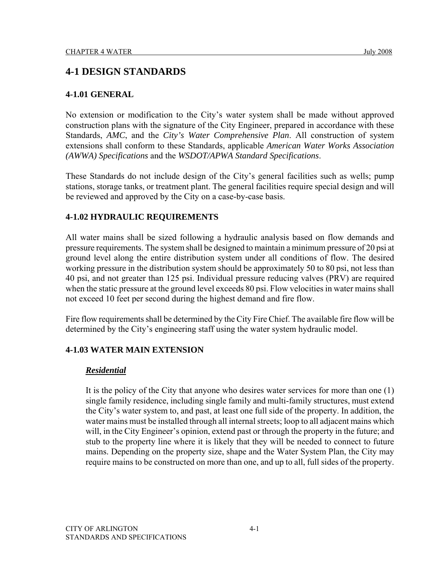## **4-1 DESIGN STANDARDS**

## **4-1.01 GENERAL**

No extension or modification to the City's water system shall be made without approved construction plans with the signature of the City Engineer, prepared in accordance with these Standards, *AMC*, and the *City's Water Comprehensive Plan*. All construction of system extensions shall conform to these Standards, applicable *American Water Works Association (AWWA) Specifications* and the *WSDOT/APWA Standard Specifications*.

These Standards do not include design of the City's general facilities such as wells; pump stations, storage tanks, or treatment plant. The general facilities require special design and will be reviewed and approved by the City on a case-by-case basis.

## **4-1.02 HYDRAULIC REQUIREMENTS**

All water mains shall be sized following a hydraulic analysis based on flow demands and pressure requirements. The system shall be designed to maintain a minimum pressure of 20 psi at ground level along the entire distribution system under all conditions of flow. The desired working pressure in the distribution system should be approximately 50 to 80 psi, not less than 40 psi, and not greater than 125 psi. Individual pressure reducing valves (PRV) are required when the static pressure at the ground level exceeds 80 psi. Flow velocities in water mains shall not exceed 10 feet per second during the highest demand and fire flow.

Fire flow requirements shall be determined by the City Fire Chief. The available fire flow will be determined by the City's engineering staff using the water system hydraulic model.

## **4-1.03 WATER MAIN EXTENSION**

## *Residential*

It is the policy of the City that anyone who desires water services for more than one (1) single family residence, including single family and multi-family structures, must extend the City's water system to, and past, at least one full side of the property. In addition, the water mains must be installed through all internal streets; loop to all adjacent mains which will, in the City Engineer's opinion, extend past or through the property in the future; and stub to the property line where it is likely that they will be needed to connect to future mains. Depending on the property size, shape and the Water System Plan, the City may require mains to be constructed on more than one, and up to all, full sides of the property.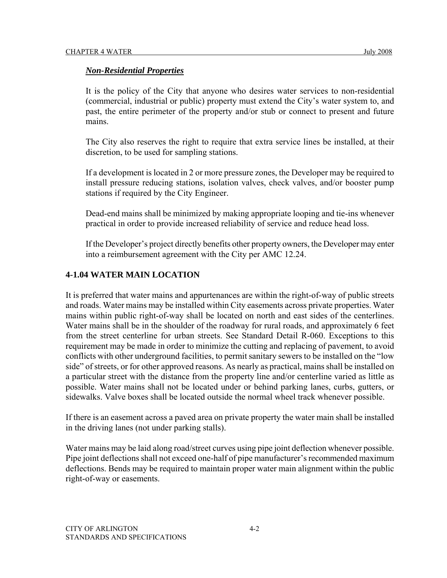## *Non-Residential Properties*

It is the policy of the City that anyone who desires water services to non-residential (commercial, industrial or public) property must extend the City's water system to, and past, the entire perimeter of the property and/or stub or connect to present and future mains.

The City also reserves the right to require that extra service lines be installed, at their discretion, to be used for sampling stations.

If a development is located in 2 or more pressure zones, the Developer may be required to install pressure reducing stations, isolation valves, check valves, and/or booster pump stations if required by the City Engineer.

Dead-end mains shall be minimized by making appropriate looping and tie-ins whenever practical in order to provide increased reliability of service and reduce head loss.

If the Developer's project directly benefits other property owners, the Developer may enter into a reimbursement agreement with the City per AMC 12.24.

## **4-1.04 WATER MAIN LOCATION**

It is preferred that water mains and appurtenances are within the right-of-way of public streets and roads. Water mains may be installed within City easements across private properties. Water mains within public right-of-way shall be located on north and east sides of the centerlines. Water mains shall be in the shoulder of the roadway for rural roads, and approximately 6 feet from the street centerline for urban streets. See Standard Detail R-060. Exceptions to this requirement may be made in order to minimize the cutting and replacing of pavement, to avoid conflicts with other underground facilities, to permit sanitary sewers to be installed on the "low side" of streets, or for other approved reasons. As nearly as practical, mains shall be installed on a particular street with the distance from the property line and/or centerline varied as little as possible. Water mains shall not be located under or behind parking lanes, curbs, gutters, or sidewalks. Valve boxes shall be located outside the normal wheel track whenever possible.

If there is an easement across a paved area on private property the water main shall be installed in the driving lanes (not under parking stalls).

Water mains may be laid along road/street curves using pipe joint deflection whenever possible. Pipe joint deflections shall not exceed one-half of pipe manufacturer's recommended maximum deflections. Bends may be required to maintain proper water main alignment within the public right-of-way or easements.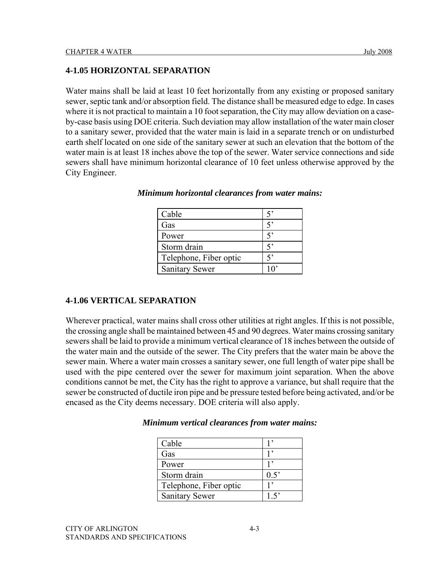## **4-1.05 HORIZONTAL SEPARATION**

Water mains shall be laid at least 10 feet horizontally from any existing or proposed sanitary sewer, septic tank and/or absorption field. The distance shall be measured edge to edge. In cases where it is not practical to maintain a 10 foot separation, the City may allow deviation on a caseby-case basis using DOE criteria. Such deviation may allow installation of the water main closer to a sanitary sewer, provided that the water main is laid in a separate trench or on undisturbed earth shelf located on one side of the sanitary sewer at such an elevation that the bottom of the water main is at least 18 inches above the top of the sewer. Water service connections and side sewers shall have minimum horizontal clearance of 10 feet unless otherwise approved by the City Engineer.

| Cable                  |    |
|------------------------|----|
| Gas                    |    |
| Power                  |    |
| Storm drain            |    |
| Telephone, Fiber optic |    |
| <b>Sanitary Sewer</b>  | 10 |

*Minimum horizontal clearances from water mains:* 

#### **4-1.06 VERTICAL SEPARATION**

Wherever practical, water mains shall cross other utilities at right angles. If this is not possible, the crossing angle shall be maintained between 45 and 90 degrees. Water mains crossing sanitary sewers shall be laid to provide a minimum vertical clearance of 18 inches between the outside of the water main and the outside of the sewer. The City prefers that the water main be above the sewer main. Where a water main crosses a sanitary sewer, one full length of water pipe shall be used with the pipe centered over the sewer for maximum joint separation. When the above conditions cannot be met, the City has the right to approve a variance, but shall require that the sewer be constructed of ductile iron pipe and be pressure tested before being activated, and/or be encased as the City deems necessary. DOE criteria will also apply.

| Cable                  |      |
|------------------------|------|
| Gas                    |      |
| Power                  |      |
| Storm drain            | 0.5  |
| Telephone, Fiber optic |      |
| <b>Sanitary Sewer</b>  | 1.5' |

*Minimum vertical clearances from water mains:*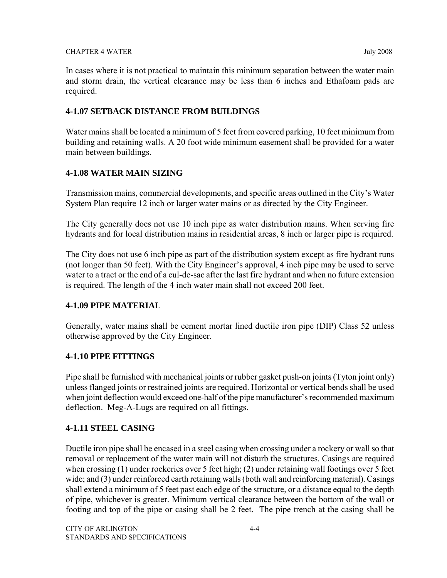In cases where it is not practical to maintain this minimum separation between the water main and storm drain, the vertical clearance may be less than 6 inches and Ethafoam pads are required.

## **4-1.07 SETBACK DISTANCE FROM BUILDINGS**

Water mains shall be located a minimum of 5 feet from covered parking, 10 feet minimum from building and retaining walls. A 20 foot wide minimum easement shall be provided for a water main between buildings.

## **4-1.08 WATER MAIN SIZING**

Transmission mains, commercial developments, and specific areas outlined in the City's Water System Plan require 12 inch or larger water mains or as directed by the City Engineer.

The City generally does not use 10 inch pipe as water distribution mains. When serving fire hydrants and for local distribution mains in residential areas, 8 inch or larger pipe is required.

The City does not use 6 inch pipe as part of the distribution system except as fire hydrant runs (not longer than 50 feet). With the City Engineer's approval, 4 inch pipe may be used to serve water to a tract or the end of a cul-de-sac after the last fire hydrant and when no future extension is required. The length of the 4 inch water main shall not exceed 200 feet.

#### **4-1.09 PIPE MATERIAL**

Generally, water mains shall be cement mortar lined ductile iron pipe (DIP) Class 52 unless otherwise approved by the City Engineer.

## **4-1.10 PIPE FITTINGS**

Pipe shall be furnished with mechanical joints or rubber gasket push-on joints (Tyton joint only) unless flanged joints or restrained joints are required. Horizontal or vertical bends shall be used when joint deflection would exceed one-half of the pipe manufacturer's recommended maximum deflection. Meg-A-Lugs are required on all fittings.

## **4-1.11 STEEL CASING**

Ductile iron pipe shall be encased in a steel casing when crossing under a rockery or wall so that removal or replacement of the water main will not disturb the structures. Casings are required when crossing (1) under rockeries over 5 feet high; (2) under retaining wall footings over 5 feet wide; and (3) under reinforced earth retaining walls (both wall and reinforcing material). Casings shall extend a minimum of 5 feet past each edge of the structure, or a distance equal to the depth of pipe, whichever is greater. Minimum vertical clearance between the bottom of the wall or footing and top of the pipe or casing shall be 2 feet. The pipe trench at the casing shall be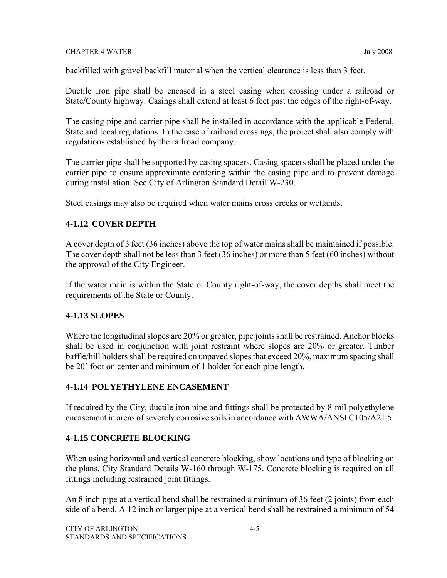backfilled with gravel backfill material when the vertical clearance is less than 3 feet.

Ductile iron pipe shall be encased in a steel casing when crossing under a railroad or State/County highway. Casings shall extend at least 6 feet past the edges of the right-of-way.

The casing pipe and carrier pipe shall be installed in accordance with the applicable Federal, State and local regulations. In the case of railroad crossings, the project shall also comply with regulations established by the railroad company.

The carrier pipe shall be supported by casing spacers. Casing spacers shall be placed under the carrier pipe to ensure approximate centering within the casing pipe and to prevent damage during installation. See City of Arlington Standard Detail W-230.

Steel casings may also be required when water mains cross creeks or wetlands.

## **4-1.12 COVER DEPTH**

A cover depth of 3 feet (36 inches) above the top of water mains shall be maintained if possible. The cover depth shall not be less than 3 feet (36 inches) or more than 5 feet (60 inches) without the approval of the City Engineer.

If the water main is within the State or County right-of-way, the cover depths shall meet the requirements of the State or County.

## **4-1.13 SLOPES**

Where the longitudinal slopes are 20% or greater, pipe joints shall be restrained. Anchor blocks shall be used in conjunction with joint restraint where slopes are 20% or greater. Timber baffle/hill holders shall be required on unpaved slopes that exceed 20%, maximum spacing shall be 20' foot on center and minimum of 1 holder for each pipe length.

## **4-1.14 POLYETHYLENE ENCASEMENT**

If required by the City, ductile iron pipe and fittings shall be protected by 8-mil polyethylene encasement in areas of severely corrosive soils in accordance with AWWA/ANSI C105/A21.5.

## **4-1.15 CONCRETE BLOCKING**

When using horizontal and vertical concrete blocking, show locations and type of blocking on the plans. City Standard Details W-160 through W-175. Concrete blocking is required on all fittings including restrained joint fittings.

An 8 inch pipe at a vertical bend shall be restrained a minimum of 36 feet (2 joints) from each side of a bend. A 12 inch or larger pipe at a vertical bend shall be restrained a minimum of 54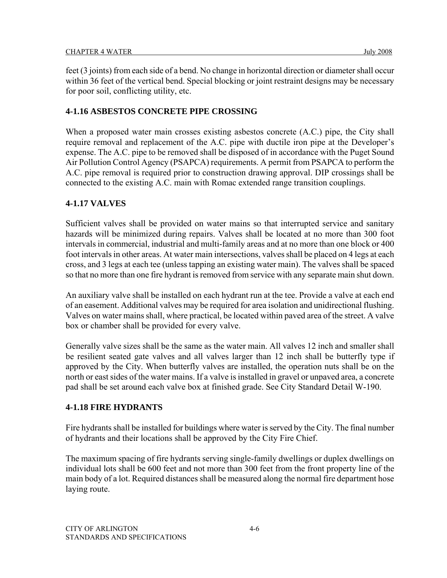feet (3 joints) from each side of a bend. No change in horizontal direction or diameter shall occur within 36 feet of the vertical bend. Special blocking or joint restraint designs may be necessary for poor soil, conflicting utility, etc.

## **4-1.16 ASBESTOS CONCRETE PIPE CROSSING**

When a proposed water main crosses existing asbestos concrete (A.C.) pipe, the City shall require removal and replacement of the A.C. pipe with ductile iron pipe at the Developer's expense. The A.C. pipe to be removed shall be disposed of in accordance with the Puget Sound Air Pollution Control Agency (PSAPCA) requirements. A permit from PSAPCA to perform the A.C. pipe removal is required prior to construction drawing approval. DIP crossings shall be connected to the existing A.C. main with Romac extended range transition couplings.

## **4-1.17 VALVES**

Sufficient valves shall be provided on water mains so that interrupted service and sanitary hazards will be minimized during repairs. Valves shall be located at no more than 300 foot intervals in commercial, industrial and multi-family areas and at no more than one block or 400 foot intervals in other areas. At water main intersections, valves shall be placed on 4 legs at each cross, and 3 legs at each tee (unless tapping an existing water main). The valves shall be spaced so that no more than one fire hydrant is removed from service with any separate main shut down.

An auxiliary valve shall be installed on each hydrant run at the tee. Provide a valve at each end of an easement. Additional valves may be required for area isolation and unidirectional flushing. Valves on water mains shall, where practical, be located within paved area of the street. A valve box or chamber shall be provided for every valve.

Generally valve sizes shall be the same as the water main. All valves 12 inch and smaller shall be resilient seated gate valves and all valves larger than 12 inch shall be butterfly type if approved by the City. When butterfly valves are installed, the operation nuts shall be on the north or east sides of the water mains. If a valve is installed in gravel or unpaved area, a concrete pad shall be set around each valve box at finished grade. See City Standard Detail W-190.

## **4-1.18 FIRE HYDRANTS**

Fire hydrants shall be installed for buildings where water is served by the City. The final number of hydrants and their locations shall be approved by the City Fire Chief.

The maximum spacing of fire hydrants serving single-family dwellings or duplex dwellings on individual lots shall be 600 feet and not more than 300 feet from the front property line of the main body of a lot. Required distances shall be measured along the normal fire department hose laying route.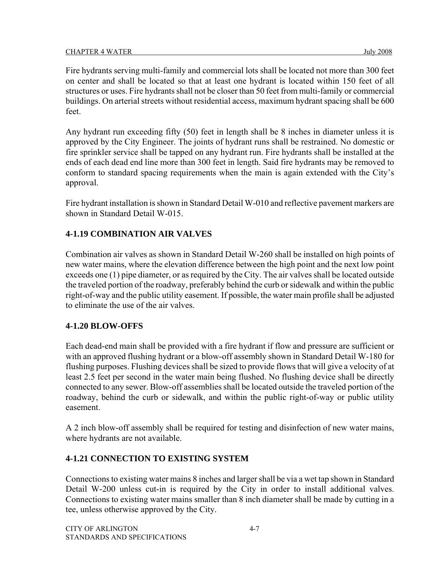Fire hydrants serving multi-family and commercial lots shall be located not more than 300 feet on center and shall be located so that at least one hydrant is located within 150 feet of all structures or uses. Fire hydrants shall not be closer than 50 feet from multi-family or commercial buildings. On arterial streets without residential access, maximum hydrant spacing shall be 600 feet.

Any hydrant run exceeding fifty (50) feet in length shall be 8 inches in diameter unless it is approved by the City Engineer. The joints of hydrant runs shall be restrained. No domestic or fire sprinkler service shall be tapped on any hydrant run. Fire hydrants shall be installed at the ends of each dead end line more than 300 feet in length. Said fire hydrants may be removed to conform to standard spacing requirements when the main is again extended with the City's approval.

Fire hydrant installation is shown in Standard Detail W-010 and reflective pavement markers are shown in Standard Detail W-015.

## **4-1.19 COMBINATION AIR VALVES**

Combination air valves as shown in Standard Detail W-260 shall be installed on high points of new water mains, where the elevation difference between the high point and the next low point exceeds one (1) pipe diameter, or as required by the City. The air valves shall be located outside the traveled portion of the roadway, preferably behind the curb or sidewalk and within the public right-of-way and the public utility easement. If possible, the water main profile shall be adjusted to eliminate the use of the air valves.

## **4-1.20 BLOW-OFFS**

Each dead-end main shall be provided with a fire hydrant if flow and pressure are sufficient or with an approved flushing hydrant or a blow-off assembly shown in Standard Detail W-180 for flushing purposes. Flushing devices shall be sized to provide flows that will give a velocity of at least 2.5 feet per second in the water main being flushed. No flushing device shall be directly connected to any sewer. Blow-off assemblies shall be located outside the traveled portion of the roadway, behind the curb or sidewalk, and within the public right-of-way or public utility easement.

A 2 inch blow-off assembly shall be required for testing and disinfection of new water mains, where hydrants are not available.

## **4-1.21 CONNECTION TO EXISTING SYSTEM**

Connections to existing water mains 8 inches and larger shall be via a wet tap shown in Standard Detail W-200 unless cut-in is required by the City in order to install additional valves. Connections to existing water mains smaller than 8 inch diameter shall be made by cutting in a tee, unless otherwise approved by the City.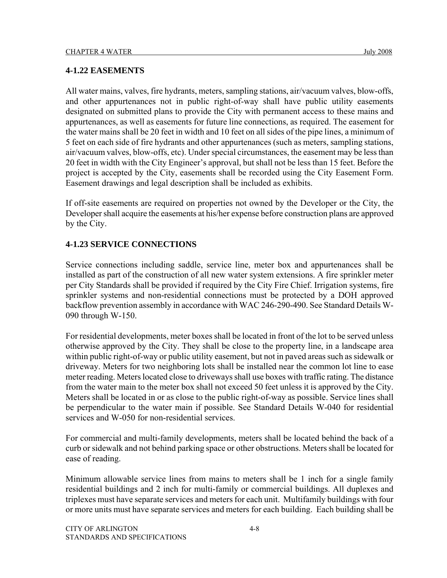#### **4-1.22 EASEMENTS**

All water mains, valves, fire hydrants, meters, sampling stations, air/vacuum valves, blow-offs, and other appurtenances not in public right-of-way shall have public utility easements designated on submitted plans to provide the City with permanent access to these mains and appurtenances, as well as easements for future line connections, as required. The easement for the water mains shall be 20 feet in width and 10 feet on all sides of the pipe lines, a minimum of 5 feet on each side of fire hydrants and other appurtenances (such as meters, sampling stations, air/vacuum valves, blow-offs, etc). Under special circumstances, the easement may be less than 20 feet in width with the City Engineer's approval, but shall not be less than 15 feet. Before the project is accepted by the City, easements shall be recorded using the City Easement Form. Easement drawings and legal description shall be included as exhibits.

If off-site easements are required on properties not owned by the Developer or the City, the Developer shall acquire the easements at his/her expense before construction plans are approved by the City.

## **4-1.23 SERVICE CONNECTIONS**

Service connections including saddle, service line, meter box and appurtenances shall be installed as part of the construction of all new water system extensions. A fire sprinkler meter per City Standards shall be provided if required by the City Fire Chief. Irrigation systems, fire sprinkler systems and non-residential connections must be protected by a DOH approved backflow prevention assembly in accordance with WAC 246-290-490. See Standard Details W-090 through W-150.

For residential developments, meter boxes shall be located in front of the lot to be served unless otherwise approved by the City. They shall be close to the property line, in a landscape area within public right-of-way or public utility easement, but not in paved areas such as sidewalk or driveway. Meters for two neighboring lots shall be installed near the common lot line to ease meter reading. Meters located close to driveways shall use boxes with traffic rating. The distance from the water main to the meter box shall not exceed 50 feet unless it is approved by the City. Meters shall be located in or as close to the public right-of-way as possible. Service lines shall be perpendicular to the water main if possible. See Standard Details W-040 for residential services and W-050 for non-residential services.

For commercial and multi-family developments, meters shall be located behind the back of a curb or sidewalk and not behind parking space or other obstructions. Meters shall be located for ease of reading.

Minimum allowable service lines from mains to meters shall be 1 inch for a single family residential buildings and 2 inch for multi-family or commercial buildings. All duplexes and triplexes must have separate services and meters for each unit. Multifamily buildings with four or more units must have separate services and meters for each building. Each building shall be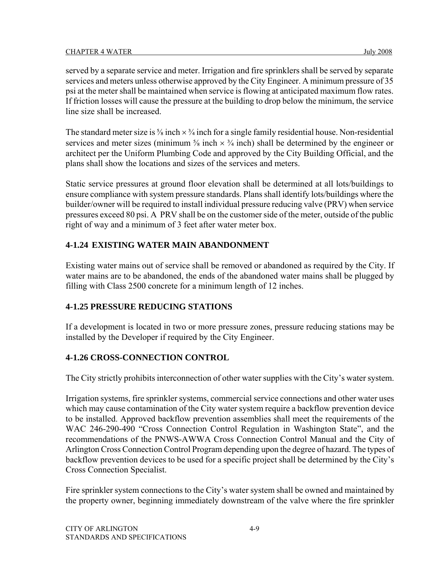served by a separate service and meter. Irrigation and fire sprinklers shall be served by separate services and meters unless otherwise approved by the City Engineer. A minimum pressure of 35 psi at the meter shall be maintained when service is flowing at anticipated maximum flow rates. If friction losses will cause the pressure at the building to drop below the minimum, the service line size shall be increased.

The standard meter size is  $\frac{5}{8}$  inch  $\times$   $\frac{3}{4}$  inch for a single family residential house. Non-residential services and meter sizes (minimum  $\frac{5}{8}$  inch  $\times$   $\frac{3}{4}$  inch) shall be determined by the engineer or architect per the Uniform Plumbing Code and approved by the City Building Official, and the plans shall show the locations and sizes of the services and meters.

Static service pressures at ground floor elevation shall be determined at all lots/buildings to ensure compliance with system pressure standards. Plans shall identify lots/buildings where the builder/owner will be required to install individual pressure reducing valve (PRV) when service pressures exceed 80 psi. A PRV shall be on the customer side of the meter, outside of the public right of way and a minimum of 3 feet after water meter box.

## **4-1.24 EXISTING WATER MAIN ABANDONMENT**

Existing water mains out of service shall be removed or abandoned as required by the City. If water mains are to be abandoned, the ends of the abandoned water mains shall be plugged by filling with Class 2500 concrete for a minimum length of 12 inches.

## **4-1.25 PRESSURE REDUCING STATIONS**

If a development is located in two or more pressure zones, pressure reducing stations may be installed by the Developer if required by the City Engineer.

## **4-1.26 CROSS-CONNECTION CONTROL**

The City strictly prohibits interconnection of other water supplies with the City's water system.

Irrigation systems, fire sprinkler systems, commercial service connections and other water uses which may cause contamination of the City water system require a backflow prevention device to be installed. Approved backflow prevention assemblies shall meet the requirements of the WAC 246-290-490 "Cross Connection Control Regulation in Washington State", and the recommendations of the PNWS-AWWA Cross Connection Control Manual and the City of Arlington Cross Connection Control Program depending upon the degree of hazard. The types of backflow prevention devices to be used for a specific project shall be determined by the City's Cross Connection Specialist.

Fire sprinkler system connections to the City's water system shall be owned and maintained by the property owner, beginning immediately downstream of the valve where the fire sprinkler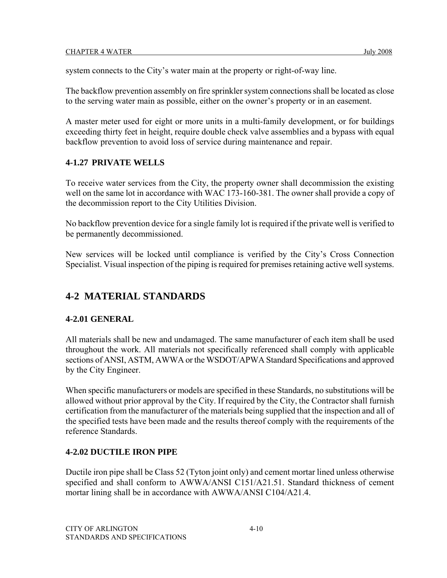system connects to the City's water main at the property or right-of-way line.

The backflow prevention assembly on fire sprinkler system connections shall be located as close to the serving water main as possible, either on the owner's property or in an easement.

A master meter used for eight or more units in a multi-family development, or for buildings exceeding thirty feet in height, require double check valve assemblies and a bypass with equal backflow prevention to avoid loss of service during maintenance and repair.

## **4-1.27 PRIVATE WELLS**

To receive water services from the City, the property owner shall decommission the existing well on the same lot in accordance with WAC 173-160-381. The owner shall provide a copy of the decommission report to the City Utilities Division.

No backflow prevention device for a single family lot is required if the private well is verified to be permanently decommissioned.

New services will be locked until compliance is verified by the City's Cross Connection Specialist. Visual inspection of the piping is required for premises retaining active well systems.

# **4-2 MATERIAL STANDARDS**

## **4-2.01 GENERAL**

All materials shall be new and undamaged. The same manufacturer of each item shall be used throughout the work. All materials not specifically referenced shall comply with applicable sections of ANSI, ASTM, AWWA or the WSDOT/APWA Standard Specifications and approved by the City Engineer.

When specific manufacturers or models are specified in these Standards, no substitutions will be allowed without prior approval by the City. If required by the City, the Contractor shall furnish certification from the manufacturer of the materials being supplied that the inspection and all of the specified tests have been made and the results thereof comply with the requirements of the reference Standards.

## **4-2.02 DUCTILE IRON PIPE**

Ductile iron pipe shall be Class 52 (Tyton joint only) and cement mortar lined unless otherwise specified and shall conform to AWWA/ANSI C151/A21.51. Standard thickness of cement mortar lining shall be in accordance with AWWA/ANSI C104/A21.4.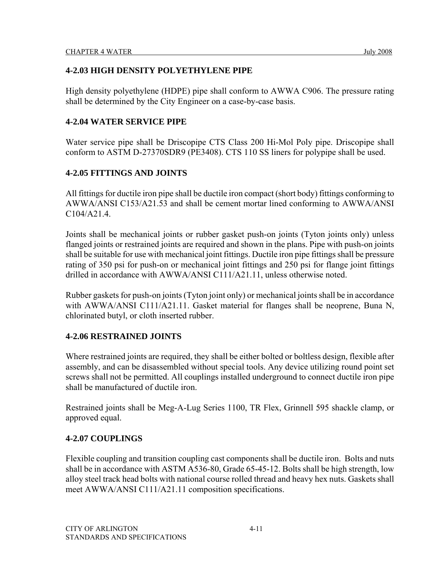## **4-2.03 HIGH DENSITY POLYETHYLENE PIPE**

High density polyethylene (HDPE) pipe shall conform to AWWA C906. The pressure rating shall be determined by the City Engineer on a case-by-case basis.

## **4-2.04 WATER SERVICE PIPE**

Water service pipe shall be Driscopipe CTS Class 200 Hi-Mol Poly pipe. Driscopipe shall conform to ASTM D-27370SDR9 (PE3408). CTS 110 SS liners for polypipe shall be used.

## **4-2.05 FITTINGS AND JOINTS**

All fittings for ductile iron pipe shall be ductile iron compact (short body) fittings conforming to AWWA/ANSI C153/A21.53 and shall be cement mortar lined conforming to AWWA/ANSI C104/A21.4.

Joints shall be mechanical joints or rubber gasket push-on joints (Tyton joints only) unless flanged joints or restrained joints are required and shown in the plans. Pipe with push-on joints shall be suitable for use with mechanical joint fittings. Ductile iron pipe fittings shall be pressure rating of 350 psi for push-on or mechanical joint fittings and 250 psi for flange joint fittings drilled in accordance with AWWA/ANSI C111/A21.11, unless otherwise noted.

Rubber gaskets for push-on joints (Tyton joint only) or mechanical joints shall be in accordance with AWWA/ANSI C111/A21.11. Gasket material for flanges shall be neoprene, Buna N, chlorinated butyl, or cloth inserted rubber.

## **4-2.06 RESTRAINED JOINTS**

Where restrained joints are required, they shall be either bolted or boltless design, flexible after assembly, and can be disassembled without special tools. Any device utilizing round point set screws shall not be permitted. All couplings installed underground to connect ductile iron pipe shall be manufactured of ductile iron.

Restrained joints shall be Meg-A-Lug Series 1100, TR Flex, Grinnell 595 shackle clamp, or approved equal.

## **4-2.07 COUPLINGS**

Flexible coupling and transition coupling cast components shall be ductile iron. Bolts and nuts shall be in accordance with ASTM A536-80, Grade 65-45-12. Bolts shall be high strength, low alloy steel track head bolts with national course rolled thread and heavy hex nuts. Gaskets shall meet AWWA/ANSI C111/A21.11 composition specifications.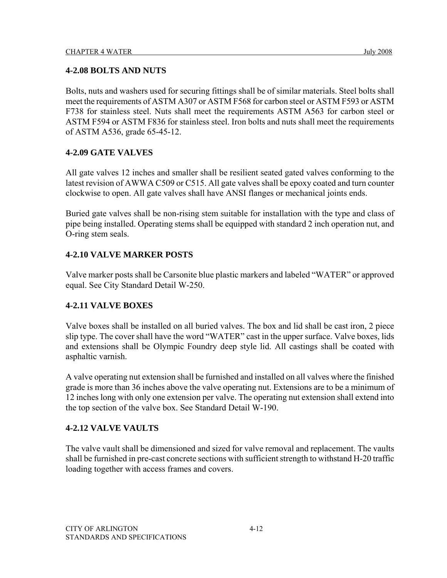## **4-2.08 BOLTS AND NUTS**

Bolts, nuts and washers used for securing fittings shall be of similar materials. Steel bolts shall meet the requirements of ASTM A307 or ASTM F568 for carbon steel or ASTM F593 or ASTM F738 for stainless steel. Nuts shall meet the requirements ASTM A563 for carbon steel or ASTM F594 or ASTM F836 for stainless steel. Iron bolts and nuts shall meet the requirements of ASTM A536, grade 65-45-12.

## **4-2.09 GATE VALVES**

All gate valves 12 inches and smaller shall be resilient seated gated valves conforming to the latest revision of AWWA C509 or C515. All gate valves shall be epoxy coated and turn counter clockwise to open. All gate valves shall have ANSI flanges or mechanical joints ends.

Buried gate valves shall be non-rising stem suitable for installation with the type and class of pipe being installed. Operating stems shall be equipped with standard 2 inch operation nut, and O-ring stem seals.

## **4-2.10 VALVE MARKER POSTS**

Valve marker posts shall be Carsonite blue plastic markers and labeled "WATER" or approved equal. See City Standard Detail W-250.

## **4-2.11 VALVE BOXES**

Valve boxes shall be installed on all buried valves. The box and lid shall be cast iron, 2 piece slip type. The cover shall have the word "WATER" cast in the upper surface. Valve boxes, lids and extensions shall be Olympic Foundry deep style lid. All castings shall be coated with asphaltic varnish.

A valve operating nut extension shall be furnished and installed on all valves where the finished grade is more than 36 inches above the valve operating nut. Extensions are to be a minimum of 12 inches long with only one extension per valve. The operating nut extension shall extend into the top section of the valve box. See Standard Detail W-190.

## **4-2.12 VALVE VAULTS**

The valve vault shall be dimensioned and sized for valve removal and replacement. The vaults shall be furnished in pre-cast concrete sections with sufficient strength to withstand H-20 traffic loading together with access frames and covers.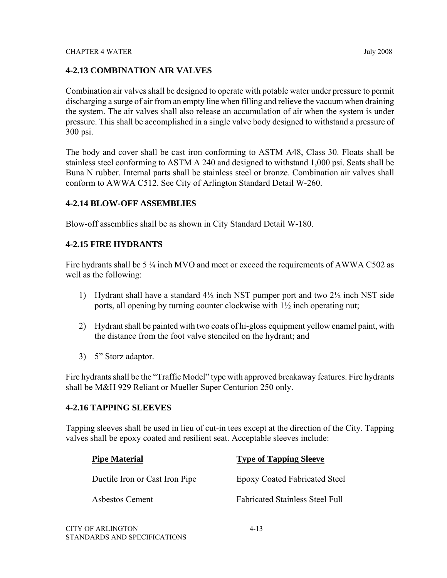## **4-2.13 COMBINATION AIR VALVES**

Combination air valves shall be designed to operate with potable water under pressure to permit discharging a surge of air from an empty line when filling and relieve the vacuum when draining the system. The air valves shall also release an accumulation of air when the system is under pressure. This shall be accomplished in a single valve body designed to withstand a pressure of 300 psi.

The body and cover shall be cast iron conforming to ASTM A48, Class 30. Floats shall be stainless steel conforming to ASTM A 240 and designed to withstand 1,000 psi. Seats shall be Buna N rubber. Internal parts shall be stainless steel or bronze. Combination air valves shall conform to AWWA C512. See City of Arlington Standard Detail W-260.

## **4-2.14 BLOW-OFF ASSEMBLIES**

Blow-off assemblies shall be as shown in City Standard Detail W-180.

## **4-2.15 FIRE HYDRANTS**

Fire hydrants shall be 5  $\frac{1}{4}$  inch MVO and meet or exceed the requirements of AWWA C502 as well as the following:

- 1) Hydrant shall have a standard 4½ inch NST pumper port and two 2½ inch NST side ports, all opening by turning counter clockwise with 1½ inch operating nut;
- 2) Hydrant shall be painted with two coats of hi-gloss equipment yellow enamel paint, with the distance from the foot valve stenciled on the hydrant; and
- 3) 5" Storz adaptor.

Fire hydrants shall be the "Traffic Model" type with approved breakaway features. Fire hydrants shall be M&H 929 Reliant or Mueller Super Centurion 250 only.

## **4-2.16 TAPPING SLEEVES**

STANDARDS AND SPECIFICATIONS

Tapping sleeves shall be used in lieu of cut-in tees except at the direction of the City. Tapping valves shall be epoxy coated and resilient seat. Acceptable sleeves include:

| <b>Pipe Material</b>           | <b>Type of Tapping Sleeve</b>          |
|--------------------------------|----------------------------------------|
| Ductile Iron or Cast Iron Pipe | <b>Epoxy Coated Fabricated Steel</b>   |
| Asbestos Cement                | <b>Fabricated Stainless Steel Full</b> |
| CITY OF ARLINGTON              | $4 - 13$                               |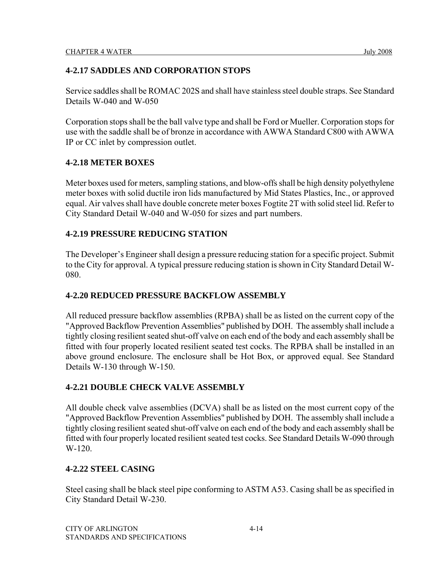## **4-2.17 SADDLES AND CORPORATION STOPS**

Service saddles shall be ROMAC 202S and shall have stainless steel double straps. See Standard Details W-040 and W-050

Corporation stops shall be the ball valve type and shall be Ford or Mueller. Corporation stops for use with the saddle shall be of bronze in accordance with AWWA Standard C800 with AWWA IP or CC inlet by compression outlet.

## **4-2.18 METER BOXES**

Meter boxes used for meters, sampling stations, and blow-offs shall be high density polyethylene meter boxes with solid ductile iron lids manufactured by Mid States Plastics, Inc., or approved equal. Air valves shall have double concrete meter boxes Fogtite 2T with solid steel lid. Refer to City Standard Detail W-040 and W-050 for sizes and part numbers.

## **4-2.19 PRESSURE REDUCING STATION**

The Developer's Engineer shall design a pressure reducing station for a specific project. Submit to the City for approval. A typical pressure reducing station is shown in City Standard Detail W-080.

## **4-2.20 REDUCED PRESSURE BACKFLOW ASSEMBLY**

All reduced pressure backflow assemblies (RPBA) shall be as listed on the current copy of the "Approved Backflow Prevention Assemblies" published by DOH. The assembly shall include a tightly closing resilient seated shut-off valve on each end of the body and each assembly shall be fitted with four properly located resilient seated test cocks. The RPBA shall be installed in an above ground enclosure. The enclosure shall be Hot Box, or approved equal. See Standard Details W-130 through W-150.

## **4-2.21 DOUBLE CHECK VALVE ASSEMBLY**

All double check valve assemblies (DCVA) shall be as listed on the most current copy of the "Approved Backflow Prevention Assemblies" published by DOH. The assembly shall include a tightly closing resilient seated shut-off valve on each end of the body and each assembly shall be fitted with four properly located resilient seated test cocks. See Standard Details W-090 through W-120.

## **4-2.22 STEEL CASING**

Steel casing shall be black steel pipe conforming to ASTM A53. Casing shall be as specified in City Standard Detail W-230.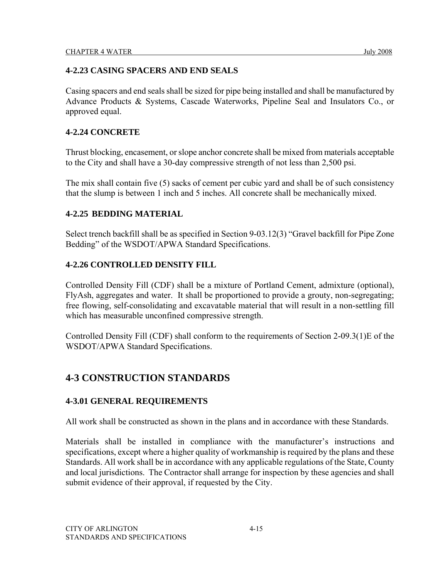## **4-2.23 CASING SPACERS AND END SEALS**

Casing spacers and end seals shall be sized for pipe being installed and shall be manufactured by Advance Products & Systems, Cascade Waterworks, Pipeline Seal and Insulators Co., or approved equal.

## **4-2.24 CONCRETE**

Thrust blocking, encasement, or slope anchor concrete shall be mixed from materials acceptable to the City and shall have a 30-day compressive strength of not less than 2,500 psi.

The mix shall contain five (5) sacks of cement per cubic yard and shall be of such consistency that the slump is between 1 inch and 5 inches. All concrete shall be mechanically mixed.

## **4-2.25 BEDDING MATERIAL**

Select trench backfill shall be as specified in Section 9-03.12(3) "Gravel backfill for Pipe Zone Bedding" of the WSDOT/APWA Standard Specifications.

## **4-2.26 CONTROLLED DENSITY FILL**

Controlled Density Fill (CDF) shall be a mixture of Portland Cement, admixture (optional), FlyAsh, aggregates and water. It shall be proportioned to provide a grouty, non-segregating; free flowing, self-consolidating and excavatable material that will result in a non-settling fill which has measurable unconfined compressive strength.

Controlled Density Fill (CDF) shall conform to the requirements of Section 2-09.3(1)E of the WSDOT/APWA Standard Specifications.

# **4-3 CONSTRUCTION STANDARDS**

## **4-3.01 GENERAL REQUIREMENTS**

All work shall be constructed as shown in the plans and in accordance with these Standards.

Materials shall be installed in compliance with the manufacturer's instructions and specifications, except where a higher quality of workmanship is required by the plans and these Standards. All work shall be in accordance with any applicable regulations of the State, County and local jurisdictions. The Contractor shall arrange for inspection by these agencies and shall submit evidence of their approval, if requested by the City.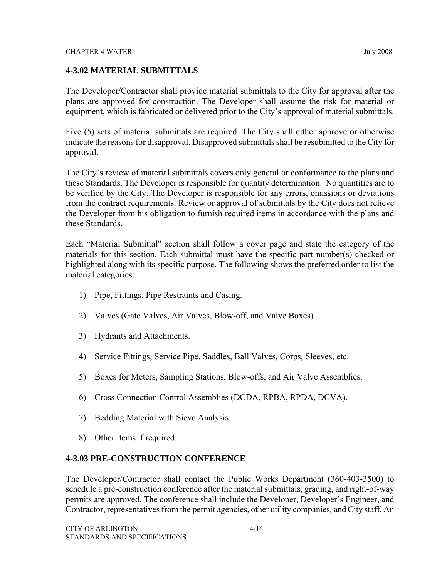## **4-3.02 MATERIAL SUBMITTALS**

The Developer/Contractor shall provide material submittals to the City for approval after the plans are approved for construction. The Developer shall assume the risk for material or equipment, which is fabricated or delivered prior to the City's approval of material submittals.

Five (5) sets of material submittals are required. The City shall either approve or otherwise indicate the reasons for disapproval. Disapproved submittals shall be resubmitted to the City for approval.

The City's review of material submittals covers only general or conformance to the plans and these Standards. The Developer is responsible for quantity determination. No quantities are to be verified by the City. The Developer is responsible for any errors, omissions or deviations from the contract requirements. Review or approval of submittals by the City does not relieve the Developer from his obligation to furnish required items in accordance with the plans and these Standards.

Each "Material Submittal" section shall follow a cover page and state the category of the materials for this section. Each submittal must have the specific part number(s) checked or highlighted along with its specific purpose. The following shows the preferred order to list the material categories:

- 1) Pipe, Fittings, Pipe Restraints and Casing.
- 2) Valves (Gate Valves, Air Valves, Blow-off, and Valve Boxes).
- 3) Hydrants and Attachments.
- 4) Service Fittings, Service Pipe, Saddles, Ball Valves, Corps, Sleeves, etc.
- 5) Boxes for Meters, Sampling Stations, Blow-offs, and Air Valve Assemblies.
- 6) Cross Connection Control Assemblies (DCDA, RPBA, RPDA, DCVA).
- 7) Bedding Material with Sieve Analysis.
- 8) Other items if required.

#### **4-3.03 PRE-CONSTRUCTION CONFERENCE**

The Developer/Contractor shall contact the Public Works Department (360-403-3500) to schedule a pre-construction conference after the material submittals, grading, and right-of-way permits are approved. The conference shall include the Developer, Developer's Engineer, and Contractor, representatives from the permit agencies, other utility companies, and City staff. An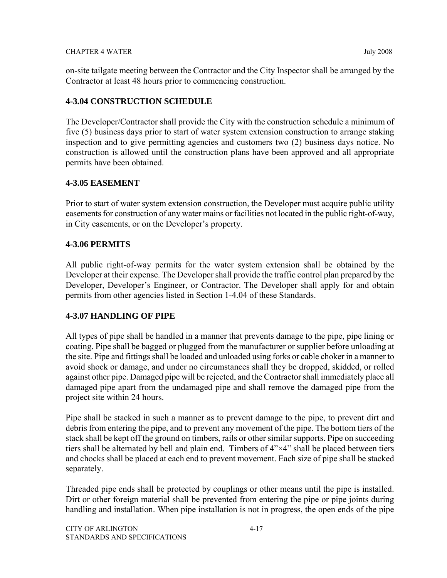on-site tailgate meeting between the Contractor and the City Inspector shall be arranged by the Contractor at least 48 hours prior to commencing construction.

## **4-3.04 CONSTRUCTION SCHEDULE**

The Developer/Contractor shall provide the City with the construction schedule a minimum of five (5) business days prior to start of water system extension construction to arrange staking inspection and to give permitting agencies and customers two (2) business days notice. No construction is allowed until the construction plans have been approved and all appropriate permits have been obtained.

#### **4-3.05 EASEMENT**

Prior to start of water system extension construction, the Developer must acquire public utility easements for construction of any water mains or facilities not located in the public right-of-way, in City easements, or on the Developer's property.

#### **4-3.06 PERMITS**

All public right-of-way permits for the water system extension shall be obtained by the Developer at their expense. The Developer shall provide the traffic control plan prepared by the Developer, Developer's Engineer, or Contractor. The Developer shall apply for and obtain permits from other agencies listed in Section 1-4.04 of these Standards.

## **4-3.07 HANDLING OF PIPE**

All types of pipe shall be handled in a manner that prevents damage to the pipe, pipe lining or coating. Pipe shall be bagged or plugged from the manufacturer or supplier before unloading at the site. Pipe and fittings shall be loaded and unloaded using forks or cable choker in a manner to avoid shock or damage, and under no circumstances shall they be dropped, skidded, or rolled against other pipe. Damaged pipe will be rejected, and the Contractor shall immediately place all damaged pipe apart from the undamaged pipe and shall remove the damaged pipe from the project site within 24 hours.

Pipe shall be stacked in such a manner as to prevent damage to the pipe, to prevent dirt and debris from entering the pipe, and to prevent any movement of the pipe. The bottom tiers of the stack shall be kept off the ground on timbers, rails or other similar supports. Pipe on succeeding tiers shall be alternated by bell and plain end. Timbers of 4"×4" shall be placed between tiers and chocks shall be placed at each end to prevent movement. Each size of pipe shall be stacked separately.

Threaded pipe ends shall be protected by couplings or other means until the pipe is installed. Dirt or other foreign material shall be prevented from entering the pipe or pipe joints during handling and installation. When pipe installation is not in progress, the open ends of the pipe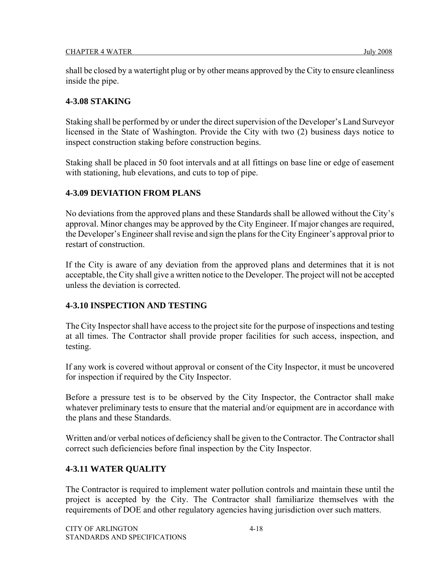shall be closed by a watertight plug or by other means approved by the City to ensure cleanliness inside the pipe.

#### **4-3.08 STAKING**

Staking shall be performed by or under the direct supervision of the Developer's Land Surveyor licensed in the State of Washington. Provide the City with two (2) business days notice to inspect construction staking before construction begins.

Staking shall be placed in 50 foot intervals and at all fittings on base line or edge of easement with stationing, hub elevations, and cuts to top of pipe.

#### **4-3.09 DEVIATION FROM PLANS**

No deviations from the approved plans and these Standards shall be allowed without the City's approval. Minor changes may be approved by the City Engineer. If major changes are required, the Developer's Engineer shall revise and sign the plans for the City Engineer's approval prior to restart of construction.

If the City is aware of any deviation from the approved plans and determines that it is not acceptable, the City shall give a written notice to the Developer. The project will not be accepted unless the deviation is corrected.

## **4-3.10 INSPECTION AND TESTING**

The City Inspector shall have access to the project site for the purpose of inspections and testing at all times. The Contractor shall provide proper facilities for such access, inspection, and testing.

If any work is covered without approval or consent of the City Inspector, it must be uncovered for inspection if required by the City Inspector.

Before a pressure test is to be observed by the City Inspector, the Contractor shall make whatever preliminary tests to ensure that the material and/or equipment are in accordance with the plans and these Standards.

Written and/or verbal notices of deficiency shall be given to the Contractor. The Contractor shall correct such deficiencies before final inspection by the City Inspector.

## **4-3.11 WATER QUALITY**

The Contractor is required to implement water pollution controls and maintain these until the project is accepted by the City. The Contractor shall familiarize themselves with the requirements of DOE and other regulatory agencies having jurisdiction over such matters.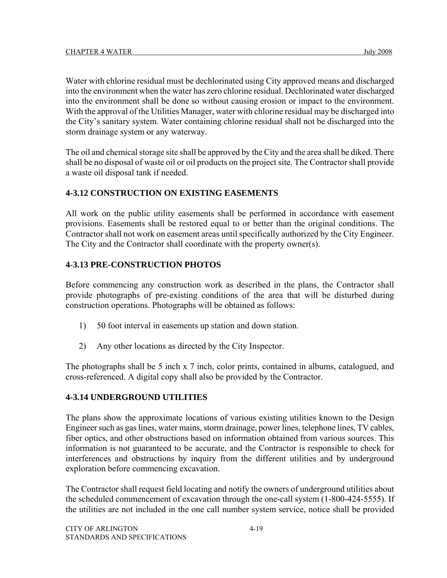Water with chlorine residual must be dechlorinated using City approved means and discharged into the environment when the water has zero chlorine residual. Dechlorinated water discharged into the environment shall be done so without causing erosion or impact to the environment. With the approval of the Utilities Manager, water with chlorine residual may be discharged into the City's sanitary system. Water containing chlorine residual shall not be discharged into the storm drainage system or any waterway.

The oil and chemical storage site shall be approved by the City and the area shall be diked. There shall be no disposal of waste oil or oil products on the project site. The Contractor shall provide a waste oil disposal tank if needed.

## **4-3.12 CONSTRUCTION ON EXISTING EASEMENTS**

All work on the public utility easements shall be performed in accordance with easement provisions. Easements shall be restored equal to or better than the original conditions. The Contractor shall not work on easement areas until specifically authorized by the City Engineer. The City and the Contractor shall coordinate with the property owner(s).

## **4-3.13 PRE-CONSTRUCTION PHOTOS**

Before commencing any construction work as described in the plans, the Contractor shall provide photographs of pre-existing conditions of the area that will be disturbed during construction operations. Photographs will be obtained as follows:

- 1) 50 foot interval in easements up station and down station.
- 2) Any other locations as directed by the City Inspector.

The photographs shall be 5 inch x 7 inch, color prints, contained in albums, catalogued, and cross-referenced. A digital copy shall also be provided by the Contractor.

## **4-3.14 UNDERGROUND UTILITIES**

The plans show the approximate locations of various existing utilities known to the Design Engineer such as gas lines, water mains, storm drainage, power lines, telephone lines, TV cables, fiber optics, and other obstructions based on information obtained from various sources. This information is not guaranteed to be accurate, and the Contractor is responsible to check for interferences and obstructions by inquiry from the different utilities and by underground exploration before commencing excavation.

The Contractor shall request field locating and notify the owners of underground utilities about the scheduled commencement of excavation through the one-call system (1-800-424-5555). If the utilities are not included in the one call number system service, notice shall be provided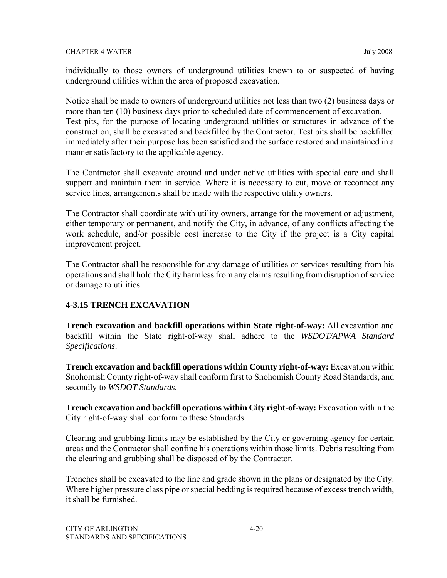individually to those owners of underground utilities known to or suspected of having underground utilities within the area of proposed excavation.

Notice shall be made to owners of underground utilities not less than two (2) business days or more than ten (10) business days prior to scheduled date of commencement of excavation. Test pits, for the purpose of locating underground utilities or structures in advance of the construction, shall be excavated and backfilled by the Contractor. Test pits shall be backfilled immediately after their purpose has been satisfied and the surface restored and maintained in a manner satisfactory to the applicable agency.

The Contractor shall excavate around and under active utilities with special care and shall support and maintain them in service. Where it is necessary to cut, move or reconnect any service lines, arrangements shall be made with the respective utility owners.

The Contractor shall coordinate with utility owners, arrange for the movement or adjustment, either temporary or permanent, and notify the City, in advance, of any conflicts affecting the work schedule, and/or possible cost increase to the City if the project is a City capital improvement project.

The Contractor shall be responsible for any damage of utilities or services resulting from his operations and shall hold the City harmless from any claims resulting from disruption of service or damage to utilities.

## **4-3.15 TRENCH EXCAVATION**

**Trench excavation and backfill operations within State right-of-way:** All excavation and backfill within the State right-of-way shall adhere to the *WSDOT/APWA Standard Specifications*.

**Trench excavation and backfill operations within County right-of-way:** Excavation within Snohomish County right-of-way shall conform first to Snohomish County Road Standards, and secondly to *WSDOT Standards.*

**Trench excavation and backfill operations within City right-of-way:** Excavation within the City right-of-way shall conform to these Standards.

Clearing and grubbing limits may be established by the City or governing agency for certain areas and the Contractor shall confine his operations within those limits. Debris resulting from the clearing and grubbing shall be disposed of by the Contractor.

Trenches shall be excavated to the line and grade shown in the plans or designated by the City. Where higher pressure class pipe or special bedding is required because of excess trench width, it shall be furnished.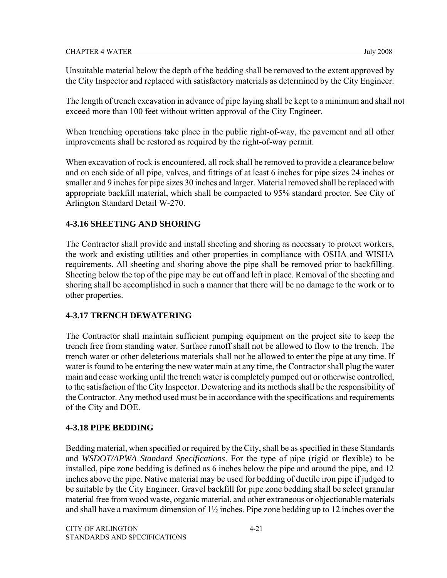Unsuitable material below the depth of the bedding shall be removed to the extent approved by the City Inspector and replaced with satisfactory materials as determined by the City Engineer.

The length of trench excavation in advance of pipe laying shall be kept to a minimum and shall not exceed more than 100 feet without written approval of the City Engineer.

When trenching operations take place in the public right-of-way, the pavement and all other improvements shall be restored as required by the right-of-way permit.

When excavation of rock is encountered, all rock shall be removed to provide a clearance below and on each side of all pipe, valves, and fittings of at least 6 inches for pipe sizes 24 inches or smaller and 9 inches for pipe sizes 30 inches and larger. Material removed shall be replaced with appropriate backfill material, which shall be compacted to 95% standard proctor. See City of Arlington Standard Detail W-270.

## **4-3.16 SHEETING AND SHORING**

The Contractor shall provide and install sheeting and shoring as necessary to protect workers, the work and existing utilities and other properties in compliance with OSHA and WISHA requirements. All sheeting and shoring above the pipe shall be removed prior to backfilling. Sheeting below the top of the pipe may be cut off and left in place. Removal of the sheeting and shoring shall be accomplished in such a manner that there will be no damage to the work or to other properties.

## **4-3.17 TRENCH DEWATERING**

The Contractor shall maintain sufficient pumping equipment on the project site to keep the trench free from standing water. Surface runoff shall not be allowed to flow to the trench. The trench water or other deleterious materials shall not be allowed to enter the pipe at any time. If water is found to be entering the new water main at any time, the Contractor shall plug the water main and cease working until the trench water is completely pumped out or otherwise controlled, to the satisfaction of the City Inspector. Dewatering and its methods shall be the responsibility of the Contractor. Any method used must be in accordance with the specifications and requirements of the City and DOE.

## **4-3.18 PIPE BEDDING**

Bedding material, when specified or required by the City, shall be as specified in these Standards and *WSDOT/APWA Standard Specifications*. For the type of pipe (rigid or flexible) to be installed, pipe zone bedding is defined as 6 inches below the pipe and around the pipe, and 12 inches above the pipe. Native material may be used for bedding of ductile iron pipe if judged to be suitable by the City Engineer. Gravel backfill for pipe zone bedding shall be select granular material free from wood waste, organic material, and other extraneous or objectionable materials and shall have a maximum dimension of 1½ inches. Pipe zone bedding up to 12 inches over the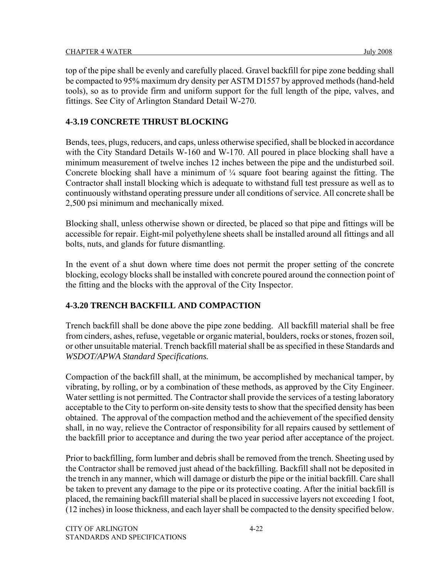top of the pipe shall be evenly and carefully placed. Gravel backfill for pipe zone bedding shall be compacted to 95% maximum dry density per ASTM D1557 by approved methods (hand-held tools), so as to provide firm and uniform support for the full length of the pipe, valves, and fittings. See City of Arlington Standard Detail W-270.

## **4-3.19 CONCRETE THRUST BLOCKING**

Bends, tees, plugs, reducers, and caps, unless otherwise specified, shall be blocked in accordance with the City Standard Details W-160 and W-170. All poured in place blocking shall have a minimum measurement of twelve inches 12 inches between the pipe and the undisturbed soil. Concrete blocking shall have a minimum of  $\frac{1}{4}$  square foot bearing against the fitting. The Contractor shall install blocking which is adequate to withstand full test pressure as well as to continuously withstand operating pressure under all conditions of service. All concrete shall be 2,500 psi minimum and mechanically mixed.

Blocking shall, unless otherwise shown or directed, be placed so that pipe and fittings will be accessible for repair. Eight-mil polyethylene sheets shall be installed around all fittings and all bolts, nuts, and glands for future dismantling.

In the event of a shut down where time does not permit the proper setting of the concrete blocking, ecology blocks shall be installed with concrete poured around the connection point of the fitting and the blocks with the approval of the City Inspector.

## **4-3.20 TRENCH BACKFILL AND COMPACTION**

Trench backfill shall be done above the pipe zone bedding. All backfill material shall be free from cinders, ashes, refuse, vegetable or organic material, boulders, rocks or stones, frozen soil, or other unsuitable material. Trench backfill material shall be as specified in these Standards and *WSDOT/APWA Standard Specifications.* 

Compaction of the backfill shall, at the minimum, be accomplished by mechanical tamper, by vibrating, by rolling, or by a combination of these methods, as approved by the City Engineer. Water settling is not permitted. The Contractor shall provide the services of a testing laboratory acceptable to the City to perform on-site density tests to show that the specified density has been obtained. The approval of the compaction method and the achievement of the specified density shall, in no way, relieve the Contractor of responsibility for all repairs caused by settlement of the backfill prior to acceptance and during the two year period after acceptance of the project.

Prior to backfilling, form lumber and debris shall be removed from the trench. Sheeting used by the Contractor shall be removed just ahead of the backfilling. Backfill shall not be deposited in the trench in any manner, which will damage or disturb the pipe or the initial backfill. Care shall be taken to prevent any damage to the pipe or its protective coating. After the initial backfill is placed, the remaining backfill material shall be placed in successive layers not exceeding 1 foot, (12 inches) in loose thickness, and each layer shall be compacted to the density specified below.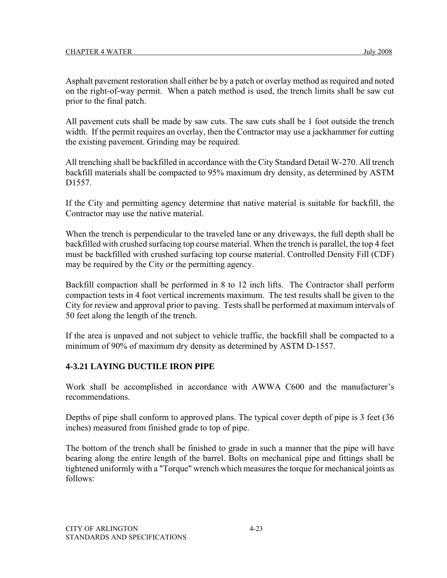Asphalt pavement restoration shall either be by a patch or overlay method as required and noted on the right-of-way permit. When a patch method is used, the trench limits shall be saw cut prior to the final patch.

All pavement cuts shall be made by saw cuts. The saw cuts shall be 1 foot outside the trench width. If the permit requires an overlay, then the Contractor may use a jackhammer for cutting the existing pavement. Grinding may be required.

All trenching shall be backfilled in accordance with the City Standard Detail W-270. All trench backfill materials shall be compacted to 95% maximum dry density, as determined by ASTM D1557.

If the City and permitting agency determine that native material is suitable for backfill, the Contractor may use the native material.

When the trench is perpendicular to the traveled lane or any driveways, the full depth shall be backfilled with crushed surfacing top course material. When the trench is parallel, the top 4 feet must be backfilled with crushed surfacing top course material. Controlled Density Fill (CDF) may be required by the City or the permitting agency.

Backfill compaction shall be performed in 8 to 12 inch lifts. The Contractor shall perform compaction tests in 4 foot vertical increments maximum. The test results shall be given to the City for review and approval prior to paving. Tests shall be performed at maximum intervals of 50 feet along the length of the trench.

If the area is unpaved and not subject to vehicle traffic, the backfill shall be compacted to a minimum of 90% of maximum dry density as determined by ASTM D-1557.

## **4-3.21 LAYING DUCTILE IRON PIPE**

Work shall be accomplished in accordance with AWWA C600 and the manufacturer's recommendations.

Depths of pipe shall conform to approved plans. The typical cover depth of pipe is 3 feet (36 inches) measured from finished grade to top of pipe.

The bottom of the trench shall be finished to grade in such a manner that the pipe will have bearing along the entire length of the barrel. Bolts on mechanical pipe and fittings shall be tightened uniformly with a "Torque" wrench which measures the torque for mechanical joints as follows: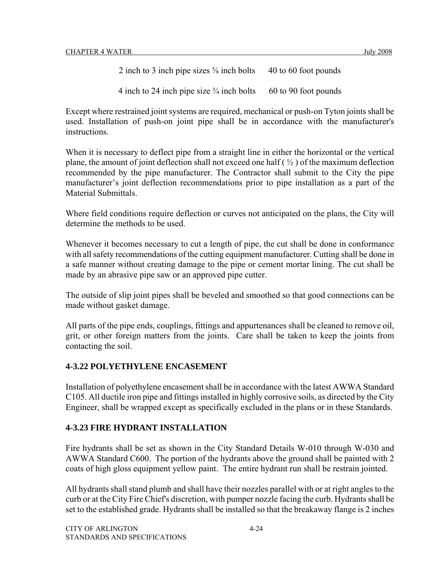2 inch to 3 inch pipe sizes  $\frac{5}{8}$  inch bolts 40 to 60 foot pounds

4 inch to 24 inch pipe size  $\frac{3}{4}$  inch bolts 60 to 90 foot pounds

Except where restrained joint systems are required, mechanical or push-on Tyton joints shall be used. Installation of push-on joint pipe shall be in accordance with the manufacturer's instructions.

When it is necessary to deflect pipe from a straight line in either the horizontal or the vertical plane, the amount of joint deflection shall not exceed one half  $(\frac{1}{2})$  of the maximum deflection recommended by the pipe manufacturer. The Contractor shall submit to the City the pipe manufacturer's joint deflection recommendations prior to pipe installation as a part of the Material Submittals.

Where field conditions require deflection or curves not anticipated on the plans, the City will determine the methods to be used.

Whenever it becomes necessary to cut a length of pipe, the cut shall be done in conformance with all safety recommendations of the cutting equipment manufacturer. Cutting shall be done in a safe manner without creating damage to the pipe or cement mortar lining. The cut shall be made by an abrasive pipe saw or an approved pipe cutter.

The outside of slip joint pipes shall be beveled and smoothed so that good connections can be made without gasket damage.

All parts of the pipe ends, couplings, fittings and appurtenances shall be cleaned to remove oil, grit, or other foreign matters from the joints. Care shall be taken to keep the joints from contacting the soil.

## **4-3.22 POLYETHYLENE ENCASEMENT**

Installation of polyethylene encasement shall be in accordance with the latest AWWA Standard C105. All ductile iron pipe and fittings installed in highly corrosive soils, as directed by the City Engineer, shall be wrapped except as specifically excluded in the plans or in these Standards.

## **4-3.23 FIRE HYDRANT INSTALLATION**

Fire hydrants shall be set as shown in the City Standard Details W-010 through W-030 and AWWA Standard C600. The portion of the hydrants above the ground shall be painted with 2 coats of high gloss equipment yellow paint. The entire hydrant run shall be restrain jointed.

All hydrants shall stand plumb and shall have their nozzles parallel with or at right angles to the curb or at the City Fire Chief's discretion, with pumper nozzle facing the curb. Hydrants shall be set to the established grade. Hydrants shall be installed so that the breakaway flange is 2 inches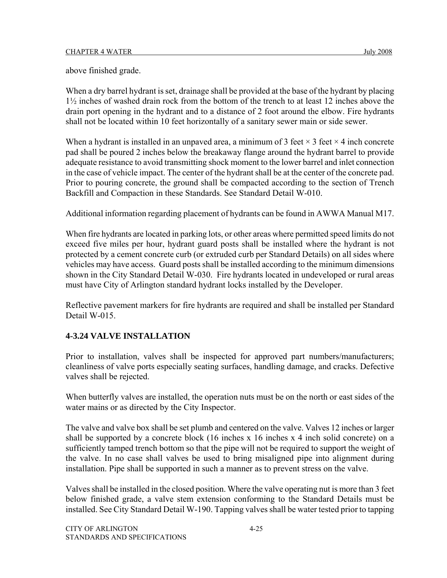above finished grade.

When a dry barrel hydrant is set, drainage shall be provided at the base of the hydrant by placing 1½ inches of washed drain rock from the bottom of the trench to at least 12 inches above the drain port opening in the hydrant and to a distance of 2 foot around the elbow. Fire hydrants shall not be located within 10 feet horizontally of a sanitary sewer main or side sewer.

When a hydrant is installed in an unpaved area, a minimum of 3 feet  $\times$  3 feet  $\times$  4 inch concrete pad shall be poured 2 inches below the breakaway flange around the hydrant barrel to provide adequate resistance to avoid transmitting shock moment to the lower barrel and inlet connection in the case of vehicle impact. The center of the hydrant shall be at the center of the concrete pad. Prior to pouring concrete, the ground shall be compacted according to the section of Trench Backfill and Compaction in these Standards. See Standard Detail W-010.

Additional information regarding placement of hydrants can be found in AWWA Manual M17.

When fire hydrants are located in parking lots, or other areas where permitted speed limits do not exceed five miles per hour, hydrant guard posts shall be installed where the hydrant is not protected by a cement concrete curb (or extruded curb per Standard Details) on all sides where vehicles may have access. Guard posts shall be installed according to the minimum dimensions shown in the City Standard Detail W-030. Fire hydrants located in undeveloped or rural areas must have City of Arlington standard hydrant locks installed by the Developer.

Reflective pavement markers for fire hydrants are required and shall be installed per Standard Detail W-015.

## **4-3.24 VALVE INSTALLATION**

Prior to installation, valves shall be inspected for approved part numbers/manufacturers; cleanliness of valve ports especially seating surfaces, handling damage, and cracks. Defective valves shall be rejected.

When butterfly valves are installed, the operation nuts must be on the north or east sides of the water mains or as directed by the City Inspector.

The valve and valve box shall be set plumb and centered on the valve. Valves 12 inches or larger shall be supported by a concrete block (16 inches x 16 inches x 4 inch solid concrete) on a sufficiently tamped trench bottom so that the pipe will not be required to support the weight of the valve. In no case shall valves be used to bring misaligned pipe into alignment during installation. Pipe shall be supported in such a manner as to prevent stress on the valve.

Valves shall be installed in the closed position. Where the valve operating nut is more than 3 feet below finished grade, a valve stem extension conforming to the Standard Details must be installed. See City Standard Detail W-190. Tapping valves shall be water tested prior to tapping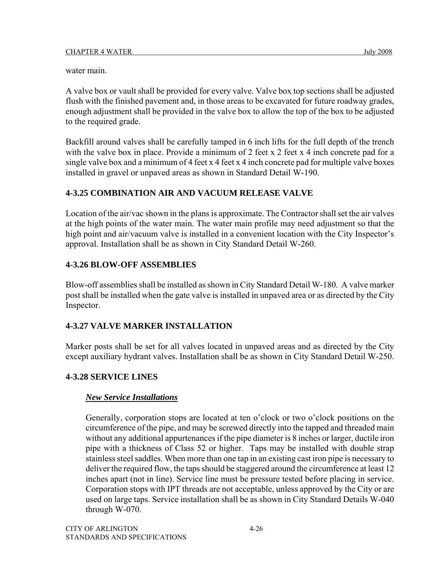water main.

A valve box or vault shall be provided for every valve. Valve box top sections shall be adjusted flush with the finished pavement and, in those areas to be excavated for future roadway grades, enough adjustment shall be provided in the valve box to allow the top of the box to be adjusted to the required grade.

Backfill around valves shall be carefully tamped in 6 inch lifts for the full depth of the trench with the valve box in place. Provide a minimum of 2 feet x 2 feet x 4 inch concrete pad for a single valve box and a minimum of 4 feet x 4 feet x 4 inch concrete pad for multiple valve boxes installed in gravel or unpaved areas as shown in Standard Detail W-190.

## **4-3.25 COMBINATION AIR AND VACUUM RELEASE VALVE**

Location of the air/vac shown in the plans is approximate. The Contractor shall set the air valves at the high points of the water main. The water main profile may need adjustment so that the high point and air/vacuum valve is installed in a convenient location with the City Inspector's approval. Installation shall be as shown in City Standard Detail W-260.

## **4-3.26 BLOW-OFF ASSEMBLIES**

Blow-off assemblies shall be installed as shown in City Standard Detail W-180. A valve marker post shall be installed when the gate valve is installed in unpaved area or as directed by the City Inspector.

## **4-3.27 VALVE MARKER INSTALLATION**

Marker posts shall be set for all valves located in unpaved areas and as directed by the City except auxiliary hydrant valves. Installation shall be as shown in City Standard Detail W-250.

## **4-3.28 SERVICE LINES**

## *New Service Installations*

Generally, corporation stops are located at ten o'clock or two o'clock positions on the circumference of the pipe, and may be screwed directly into the tapped and threaded main without any additional appurtenances if the pipe diameter is 8 inches or larger, ductile iron pipe with a thickness of Class 52 or higher. Taps may be installed with double strap stainless steel saddles. When more than one tap in an existing cast iron pipe is necessary to deliver the required flow, the taps should be staggered around the circumference at least 12 inches apart (not in line). Service line must be pressure tested before placing in service. Corporation stops with IPT threads are not acceptable, unless approved by the City or are used on large taps. Service installation shall be as shown in City Standard Details W-040 through W-070.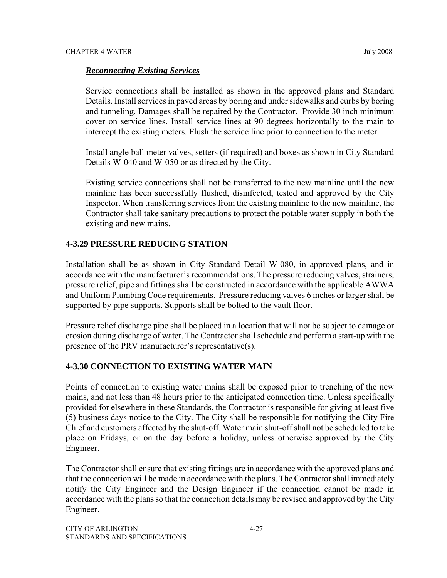#### *Reconnecting Existing Services*

Service connections shall be installed as shown in the approved plans and Standard Details. Install services in paved areas by boring and under sidewalks and curbs by boring and tunneling. Damages shall be repaired by the Contractor. Provide 30 inch minimum cover on service lines. Install service lines at 90 degrees horizontally to the main to intercept the existing meters. Flush the service line prior to connection to the meter.

Install angle ball meter valves, setters (if required) and boxes as shown in City Standard Details W-040 and W-050 or as directed by the City.

Existing service connections shall not be transferred to the new mainline until the new mainline has been successfully flushed, disinfected, tested and approved by the City Inspector. When transferring services from the existing mainline to the new mainline, the Contractor shall take sanitary precautions to protect the potable water supply in both the existing and new mains.

#### **4-3.29 PRESSURE REDUCING STATION**

Installation shall be as shown in City Standard Detail W-080, in approved plans, and in accordance with the manufacturer's recommendations. The pressure reducing valves, strainers, pressure relief, pipe and fittings shall be constructed in accordance with the applicable AWWA and Uniform Plumbing Code requirements. Pressure reducing valves 6 inches or larger shall be supported by pipe supports. Supports shall be bolted to the vault floor.

Pressure relief discharge pipe shall be placed in a location that will not be subject to damage or erosion during discharge of water. The Contractor shall schedule and perform a start-up with the presence of the PRV manufacturer's representative(s).

#### **4-3.30 CONNECTION TO EXISTING WATER MAIN**

Points of connection to existing water mains shall be exposed prior to trenching of the new mains, and not less than 48 hours prior to the anticipated connection time. Unless specifically provided for elsewhere in these Standards, the Contractor is responsible for giving at least five (5) business days notice to the City. The City shall be responsible for notifying the City Fire Chief and customers affected by the shut-off. Water main shut-off shall not be scheduled to take place on Fridays, or on the day before a holiday, unless otherwise approved by the City Engineer.

The Contractor shall ensure that existing fittings are in accordance with the approved plans and that the connection will be made in accordance with the plans. The Contractor shall immediately notify the City Engineer and the Design Engineer if the connection cannot be made in accordance with the plans so that the connection details may be revised and approved by the City Engineer.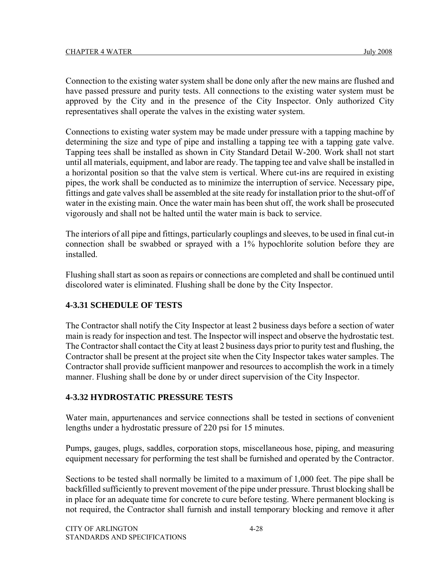Connection to the existing water system shall be done only after the new mains are flushed and have passed pressure and purity tests. All connections to the existing water system must be approved by the City and in the presence of the City Inspector. Only authorized City representatives shall operate the valves in the existing water system.

Connections to existing water system may be made under pressure with a tapping machine by determining the size and type of pipe and installing a tapping tee with a tapping gate valve. Tapping tees shall be installed as shown in City Standard Detail W-200. Work shall not start until all materials, equipment, and labor are ready. The tapping tee and valve shall be installed in a horizontal position so that the valve stem is vertical. Where cut-ins are required in existing pipes, the work shall be conducted as to minimize the interruption of service. Necessary pipe, fittings and gate valves shall be assembled at the site ready for installation prior to the shut-off of water in the existing main. Once the water main has been shut off, the work shall be prosecuted vigorously and shall not be halted until the water main is back to service.

The interiors of all pipe and fittings, particularly couplings and sleeves, to be used in final cut-in connection shall be swabbed or sprayed with a 1% hypochlorite solution before they are installed.

Flushing shall start as soon as repairs or connections are completed and shall be continued until discolored water is eliminated. Flushing shall be done by the City Inspector.

## **4-3.31 SCHEDULE OF TESTS**

The Contractor shall notify the City Inspector at least 2 business days before a section of water main is ready for inspection and test. The Inspector will inspect and observe the hydrostatic test. The Contractor shall contact the City at least 2 business days prior to purity test and flushing, the Contractor shall be present at the project site when the City Inspector takes water samples. The Contractor shall provide sufficient manpower and resources to accomplish the work in a timely manner. Flushing shall be done by or under direct supervision of the City Inspector.

## **4-3.32 HYDROSTATIC PRESSURE TESTS**

Water main, appurtenances and service connections shall be tested in sections of convenient lengths under a hydrostatic pressure of 220 psi for 15 minutes.

Pumps, gauges, plugs, saddles, corporation stops, miscellaneous hose, piping, and measuring equipment necessary for performing the test shall be furnished and operated by the Contractor.

Sections to be tested shall normally be limited to a maximum of 1,000 feet. The pipe shall be backfilled sufficiently to prevent movement of the pipe under pressure. Thrust blocking shall be in place for an adequate time for concrete to cure before testing. Where permanent blocking is not required, the Contractor shall furnish and install temporary blocking and remove it after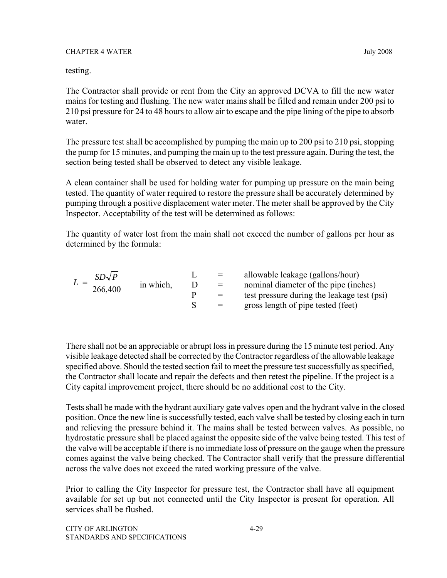testing.

The Contractor shall provide or rent from the City an approved DCVA to fill the new water mains for testing and flushing. The new water mains shall be filled and remain under 200 psi to 210 psi pressure for 24 to 48 hours to allow air to escape and the pipe lining of the pipe to absorb water.

The pressure test shall be accomplished by pumping the main up to 200 psi to 210 psi, stopping the pump for 15 minutes, and pumping the main up to the test pressure again. During the test, the section being tested shall be observed to detect any visible leakage.

A clean container shall be used for holding water for pumping up pressure on the main being tested. The quantity of water required to restore the pressure shall be accurately determined by pumping through a positive displacement water meter. The meter shall be approved by the City Inspector. Acceptability of the test will be determined as follows:

The quantity of water lost from the main shall not exceed the number of gallons per hour as determined by the formula:

| $SD\sqrt{P}$ |           | $=$ | allowable leakage (gallons/hour)            |
|--------------|-----------|-----|---------------------------------------------|
| 266,400      | in which, | $=$ | nominal diameter of the pipe (inches)       |
|              |           | $=$ | test pressure during the leakage test (psi) |
|              |           | $=$ | gross length of pipe tested (feet)          |

There shall not be an appreciable or abrupt loss in pressure during the 15 minute test period. Any visible leakage detected shall be corrected by the Contractor regardless of the allowable leakage specified above. Should the tested section fail to meet the pressure test successfully as specified, the Contractor shall locate and repair the defects and then retest the pipeline. If the project is a City capital improvement project, there should be no additional cost to the City.

Tests shall be made with the hydrant auxiliary gate valves open and the hydrant valve in the closed position. Once the new line is successfully tested, each valve shall be tested by closing each in turn and relieving the pressure behind it. The mains shall be tested between valves. As possible, no hydrostatic pressure shall be placed against the opposite side of the valve being tested. This test of the valve will be acceptable if there is no immediate loss of pressure on the gauge when the pressure comes against the valve being checked. The Contractor shall verify that the pressure differential across the valve does not exceed the rated working pressure of the valve.

Prior to calling the City Inspector for pressure test, the Contractor shall have all equipment available for set up but not connected until the City Inspector is present for operation. All services shall be flushed.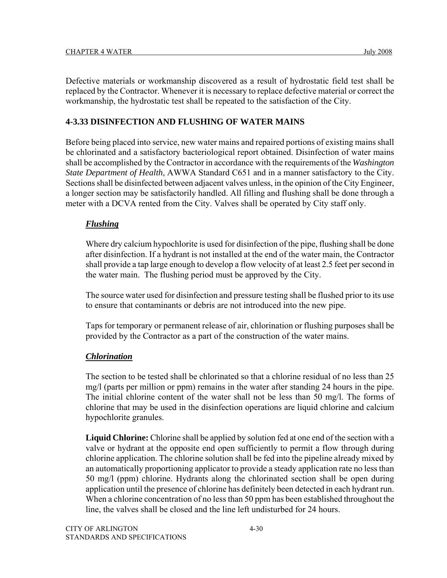Defective materials or workmanship discovered as a result of hydrostatic field test shall be replaced by the Contractor. Whenever it is necessary to replace defective material or correct the workmanship, the hydrostatic test shall be repeated to the satisfaction of the City.

## **4-3.33 DISINFECTION AND FLUSHING OF WATER MAINS**

Before being placed into service, new water mains and repaired portions of existing mains shall be chlorinated and a satisfactory bacteriological report obtained. Disinfection of water mains shall be accomplished by the Contractor in accordance with the requirements of the *Washington State Department of Health*, AWWA Standard C651 and in a manner satisfactory to the City. Sections shall be disinfected between adjacent valves unless, in the opinion of the City Engineer, a longer section may be satisfactorily handled. All filling and flushing shall be done through a meter with a DCVA rented from the City. Valves shall be operated by City staff only.

## *Flushing*

Where dry calcium hypochlorite is used for disinfection of the pipe, flushing shall be done after disinfection. If a hydrant is not installed at the end of the water main, the Contractor shall provide a tap large enough to develop a flow velocity of at least 2.5 feet per second in the water main. The flushing period must be approved by the City.

The source water used for disinfection and pressure testing shall be flushed prior to its use to ensure that contaminants or debris are not introduced into the new pipe.

Taps for temporary or permanent release of air, chlorination or flushing purposes shall be provided by the Contractor as a part of the construction of the water mains.

## *Chlorination*

The section to be tested shall be chlorinated so that a chlorine residual of no less than 25 mg/l (parts per million or ppm) remains in the water after standing 24 hours in the pipe. The initial chlorine content of the water shall not be less than 50 mg/l. The forms of chlorine that may be used in the disinfection operations are liquid chlorine and calcium hypochlorite granules.

**Liquid Chlorine:** Chlorine shall be applied by solution fed at one end of the section with a valve or hydrant at the opposite end open sufficiently to permit a flow through during chlorine application. The chlorine solution shall be fed into the pipeline already mixed by an automatically proportioning applicator to provide a steady application rate no less than 50 mg/l (ppm) chlorine. Hydrants along the chlorinated section shall be open during application until the presence of chlorine has definitely been detected in each hydrant run. When a chlorine concentration of no less than 50 ppm has been established throughout the line, the valves shall be closed and the line left undisturbed for 24 hours.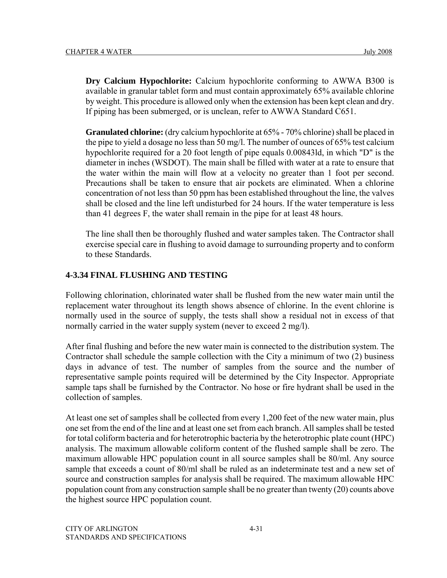**Dry Calcium Hypochlorite:** Calcium hypochlorite conforming to AWWA B300 is available in granular tablet form and must contain approximately 65% available chlorine by weight. This procedure is allowed only when the extension has been kept clean and dry. If piping has been submerged, or is unclean, refer to AWWA Standard C651.

**Granulated chlorine:** (dry calcium hypochlorite at 65% - 70% chlorine) shall be placed in the pipe to yield a dosage no less than 50 mg/l. The number of ounces of 65% test calcium hypochlorite required for a 20 foot length of pipe equals 0.00843ld, in which "D" is the diameter in inches (WSDOT). The main shall be filled with water at a rate to ensure that the water within the main will flow at a velocity no greater than 1 foot per second. Precautions shall be taken to ensure that air pockets are eliminated. When a chlorine concentration of not less than 50 ppm has been established throughout the line, the valves shall be closed and the line left undisturbed for 24 hours. If the water temperature is less than 41 degrees F, the water shall remain in the pipe for at least 48 hours.

The line shall then be thoroughly flushed and water samples taken. The Contractor shall exercise special care in flushing to avoid damage to surrounding property and to conform to these Standards.

#### **4-3.34 FINAL FLUSHING AND TESTING**

Following chlorination, chlorinated water shall be flushed from the new water main until the replacement water throughout its length shows absence of chlorine. In the event chlorine is normally used in the source of supply, the tests shall show a residual not in excess of that normally carried in the water supply system (never to exceed 2 mg/l).

After final flushing and before the new water main is connected to the distribution system. The Contractor shall schedule the sample collection with the City a minimum of two (2) business days in advance of test. The number of samples from the source and the number of representative sample points required will be determined by the City Inspector. Appropriate sample taps shall be furnished by the Contractor. No hose or fire hydrant shall be used in the collection of samples.

At least one set of samples shall be collected from every 1,200 feet of the new water main, plus one set from the end of the line and at least one set from each branch. All samples shall be tested for total coliform bacteria and for heterotrophic bacteria by the heterotrophic plate count (HPC) analysis. The maximum allowable coliform content of the flushed sample shall be zero. The maximum allowable HPC population count in all source samples shall be 80/ml. Any source sample that exceeds a count of 80/ml shall be ruled as an indeterminate test and a new set of source and construction samples for analysis shall be required. The maximum allowable HPC population count from any construction sample shall be no greater than twenty (20) counts above the highest source HPC population count.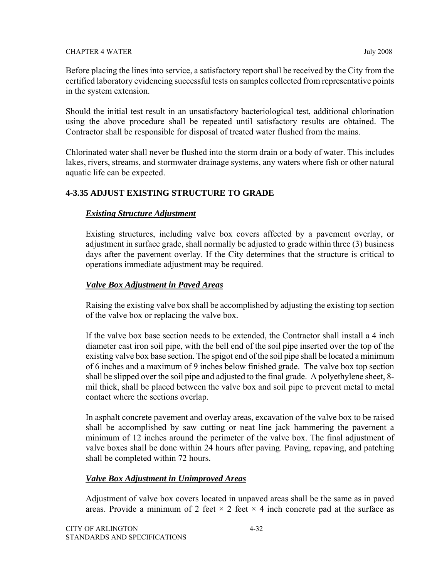Before placing the lines into service, a satisfactory report shall be received by the City from the certified laboratory evidencing successful tests on samples collected from representative points in the system extension.

Should the initial test result in an unsatisfactory bacteriological test, additional chlorination using the above procedure shall be repeated until satisfactory results are obtained. The Contractor shall be responsible for disposal of treated water flushed from the mains.

Chlorinated water shall never be flushed into the storm drain or a body of water. This includes lakes, rivers, streams, and stormwater drainage systems, any waters where fish or other natural aquatic life can be expected.

## **4-3.35 ADJUST EXISTING STRUCTURE TO GRADE**

## *Existing Structure Adjustment*

Existing structures, including valve box covers affected by a pavement overlay, or adjustment in surface grade, shall normally be adjusted to grade within three (3) business days after the pavement overlay. If the City determines that the structure is critical to operations immediate adjustment may be required.

## *Valve Box Adjustment in Paved Areas*

Raising the existing valve box shall be accomplished by adjusting the existing top section of the valve box or replacing the valve box.

If the valve box base section needs to be extended, the Contractor shall install a 4 inch diameter cast iron soil pipe, with the bell end of the soil pipe inserted over the top of the existing valve box base section. The spigot end of the soil pipe shall be located a minimum of 6 inches and a maximum of 9 inches below finished grade. The valve box top section shall be slipped over the soil pipe and adjusted to the final grade. A polyethylene sheet, 8 mil thick, shall be placed between the valve box and soil pipe to prevent metal to metal contact where the sections overlap.

In asphalt concrete pavement and overlay areas, excavation of the valve box to be raised shall be accomplished by saw cutting or neat line jack hammering the pavement a minimum of 12 inches around the perimeter of the valve box. The final adjustment of valve boxes shall be done within 24 hours after paving. Paving, repaving, and patching shall be completed within 72 hours.

## *Valve Box Adjustment in Unimproved Areas*

Adjustment of valve box covers located in unpaved areas shall be the same as in paved areas. Provide a minimum of 2 feet  $\times$  2 feet  $\times$  4 inch concrete pad at the surface as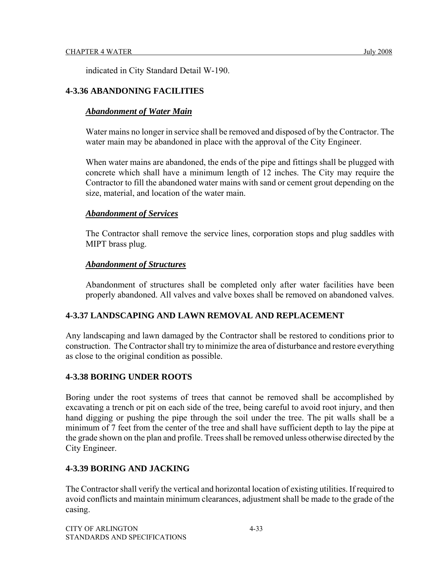indicated in City Standard Detail W-190.

## **4-3.36 ABANDONING FACILITIES**

## *Abandonment of Water Main*

Water mains no longer in service shall be removed and disposed of by the Contractor. The water main may be abandoned in place with the approval of the City Engineer.

When water mains are abandoned, the ends of the pipe and fittings shall be plugged with concrete which shall have a minimum length of 12 inches. The City may require the Contractor to fill the abandoned water mains with sand or cement grout depending on the size, material, and location of the water main.

## *Abandonment of Services*

The Contractor shall remove the service lines, corporation stops and plug saddles with MIPT brass plug.

## *Abandonment of Structures*

Abandonment of structures shall be completed only after water facilities have been properly abandoned. All valves and valve boxes shall be removed on abandoned valves.

## **4-3.37 LANDSCAPING AND LAWN REMOVAL AND REPLACEMENT**

Any landscaping and lawn damaged by the Contractor shall be restored to conditions prior to construction. The Contractor shall try to minimize the area of disturbance and restore everything as close to the original condition as possible.

## **4-3.38 BORING UNDER ROOTS**

Boring under the root systems of trees that cannot be removed shall be accomplished by excavating a trench or pit on each side of the tree, being careful to avoid root injury, and then hand digging or pushing the pipe through the soil under the tree. The pit walls shall be a minimum of 7 feet from the center of the tree and shall have sufficient depth to lay the pipe at the grade shown on the plan and profile. Trees shall be removed unless otherwise directed by the City Engineer.

## **4-3.39 BORING AND JACKING**

The Contractor shall verify the vertical and horizontal location of existing utilities. If required to avoid conflicts and maintain minimum clearances, adjustment shall be made to the grade of the casing.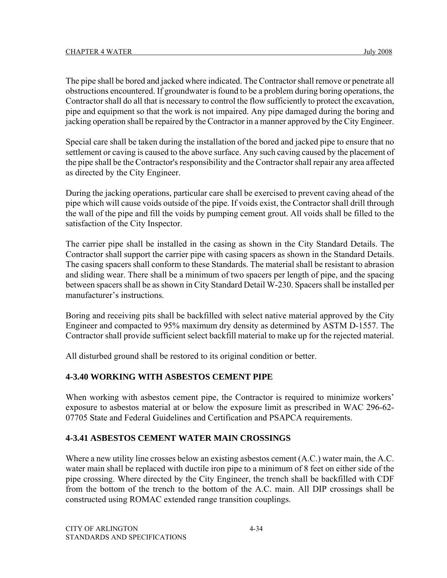The pipe shall be bored and jacked where indicated. The Contractor shall remove or penetrate all obstructions encountered. If groundwater is found to be a problem during boring operations, the Contractor shall do all that is necessary to control the flow sufficiently to protect the excavation, pipe and equipment so that the work is not impaired. Any pipe damaged during the boring and jacking operation shall be repaired by the Contractor in a manner approved by the City Engineer.

Special care shall be taken during the installation of the bored and jacked pipe to ensure that no settlement or caving is caused to the above surface. Any such caving caused by the placement of the pipe shall be the Contractor's responsibility and the Contractor shall repair any area affected as directed by the City Engineer.

During the jacking operations, particular care shall be exercised to prevent caving ahead of the pipe which will cause voids outside of the pipe. If voids exist, the Contractor shall drill through the wall of the pipe and fill the voids by pumping cement grout. All voids shall be filled to the satisfaction of the City Inspector.

The carrier pipe shall be installed in the casing as shown in the City Standard Details. The Contractor shall support the carrier pipe with casing spacers as shown in the Standard Details. The casing spacers shall conform to these Standards. The material shall be resistant to abrasion and sliding wear. There shall be a minimum of two spacers per length of pipe, and the spacing between spacers shall be as shown in City Standard Detail W-230. Spacers shall be installed per manufacturer's instructions.

Boring and receiving pits shall be backfilled with select native material approved by the City Engineer and compacted to 95% maximum dry density as determined by ASTM D-1557. The Contractor shall provide sufficient select backfill material to make up for the rejected material.

All disturbed ground shall be restored to its original condition or better.

## **4-3.40 WORKING WITH ASBESTOS CEMENT PIPE**

When working with asbestos cement pipe, the Contractor is required to minimize workers' exposure to asbestos material at or below the exposure limit as prescribed in WAC 296-62- 07705 State and Federal Guidelines and Certification and PSAPCA requirements.

## **4-3.41 ASBESTOS CEMENT WATER MAIN CROSSINGS**

Where a new utility line crosses below an existing asbestos cement (A.C.) water main, the A.C. water main shall be replaced with ductile iron pipe to a minimum of 8 feet on either side of the pipe crossing. Where directed by the City Engineer, the trench shall be backfilled with CDF from the bottom of the trench to the bottom of the A.C. main. All DIP crossings shall be constructed using ROMAC extended range transition couplings.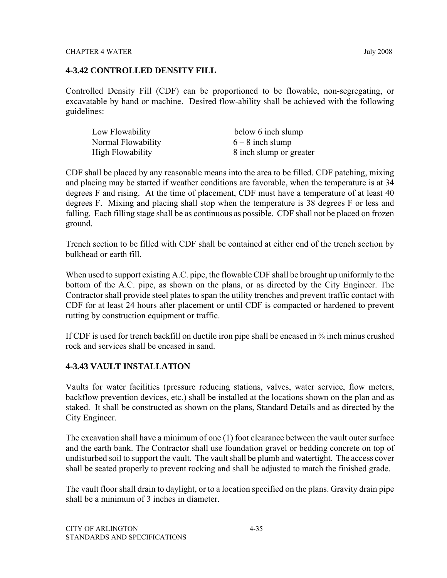## **4-3.42 CONTROLLED DENSITY FILL**

Controlled Density Fill (CDF) can be proportioned to be flowable, non-segregating, or excavatable by hand or machine. Desired flow-ability shall be achieved with the following guidelines:

| Low Flowability         | below 6 inch slump      |
|-------------------------|-------------------------|
| Normal Flowability      | $6 - 8$ inch slump      |
| <b>High Flowability</b> | 8 inch slump or greater |

CDF shall be placed by any reasonable means into the area to be filled. CDF patching, mixing and placing may be started if weather conditions are favorable, when the temperature is at 34 degrees F and rising. At the time of placement, CDF must have a temperature of at least 40 degrees F. Mixing and placing shall stop when the temperature is 38 degrees F or less and falling. Each filling stage shall be as continuous as possible. CDF shall not be placed on frozen ground.

Trench section to be filled with CDF shall be contained at either end of the trench section by bulkhead or earth fill.

When used to support existing A.C. pipe, the flowable CDF shall be brought up uniformly to the bottom of the A.C. pipe, as shown on the plans, or as directed by the City Engineer. The Contractor shall provide steel plates to span the utility trenches and prevent traffic contact with CDF for at least 24 hours after placement or until CDF is compacted or hardened to prevent rutting by construction equipment or traffic.

If CDF is used for trench backfill on ductile iron pipe shall be encased in ⅝ inch minus crushed rock and services shall be encased in sand.

## **4-3.43 VAULT INSTALLATION**

Vaults for water facilities (pressure reducing stations, valves, water service, flow meters, backflow prevention devices, etc.) shall be installed at the locations shown on the plan and as staked. It shall be constructed as shown on the plans, Standard Details and as directed by the City Engineer.

The excavation shall have a minimum of one (1) foot clearance between the vault outer surface and the earth bank. The Contractor shall use foundation gravel or bedding concrete on top of undisturbed soil to support the vault. The vault shall be plumb and watertight. The access cover shall be seated properly to prevent rocking and shall be adjusted to match the finished grade.

The vault floor shall drain to daylight, or to a location specified on the plans. Gravity drain pipe shall be a minimum of 3 inches in diameter.